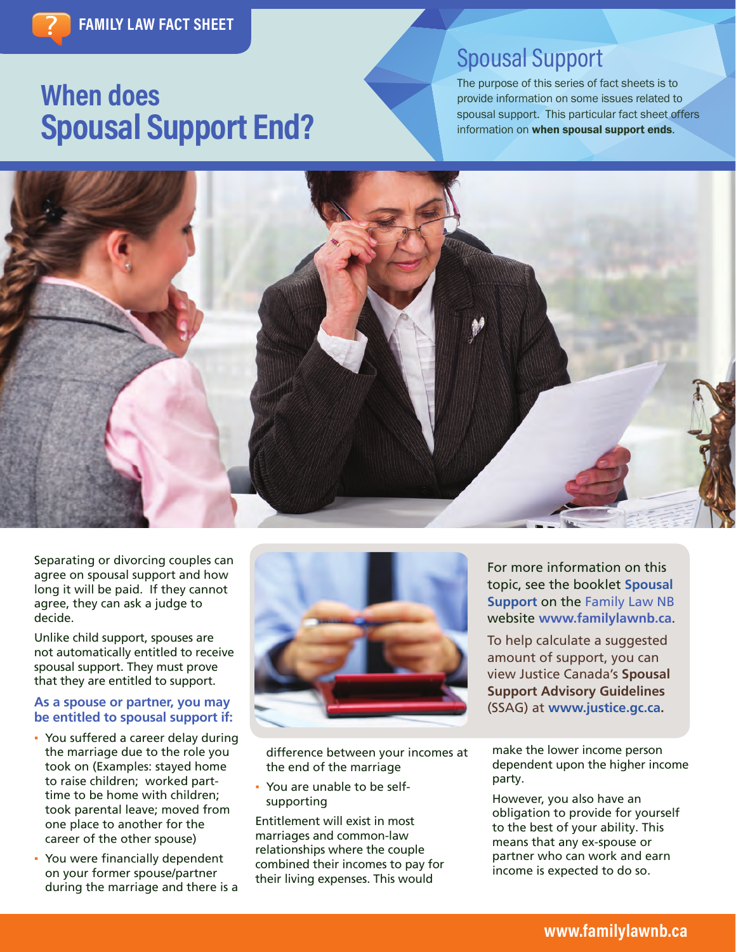# **When does Spousal Support End?**

# Spousal Support

The purpose of this series of fact sheets is to provide information on some issues related to spousal support. This particular fact sheet offers information on when spousal support ends.



Separating or divorcing couples can agree on spousal support and how long it will be paid. If they cannot agree, they can ask a judge to decide.

Unlike child support, spouses are not automatically entitled to receive spousal support. They must prove that they are entitled to support.

## **As a spouse or partner, you may be entitled to spousal support if:**

- You suffered a career delay during the marriage due to the role you took on (Examples: stayed home to raise children; worked parttime to be home with children; took parental leave; moved from one place to another for the career of the other spouse)
- You were financially dependent on your former spouse/partner during the marriage and there is a



difference between your incomes at the end of the marriage

You are unable to be selfsupporting

Entitlement will exist in most marriages and common-law relationships where the couple combined their incomes to pay for their living expenses. This would

For more information on this topic, see the booklet **[Spousal](http://www.legal-info-legale.nb.ca/ en/uploads/file/pdfs/Spousal_ Support_EN.pdf)  [Support](http://www.legal-info-legale.nb.ca/ en/uploads/file/pdfs/Spousal_ Support_EN.pdf)** on the Family Law NB website **[www.familylawnb.ca](http://www.familylawnb.ca)**.

To help calculate a suggested amount of support, you can view Justice Canada's **Spousal Support Advisory Guidelines** (SSAG) at **[www.justice.gc.ca.](http://www.justice.gc.ca/eng/fl-df/spousal-epoux/ssag-ldfpae.html)**

make the lower income person dependent upon the higher income party.

However, you also have an obligation to provide for yourself to the best of your ability. This means that any ex-spouse or partner who can work and earn income is expected to do so.